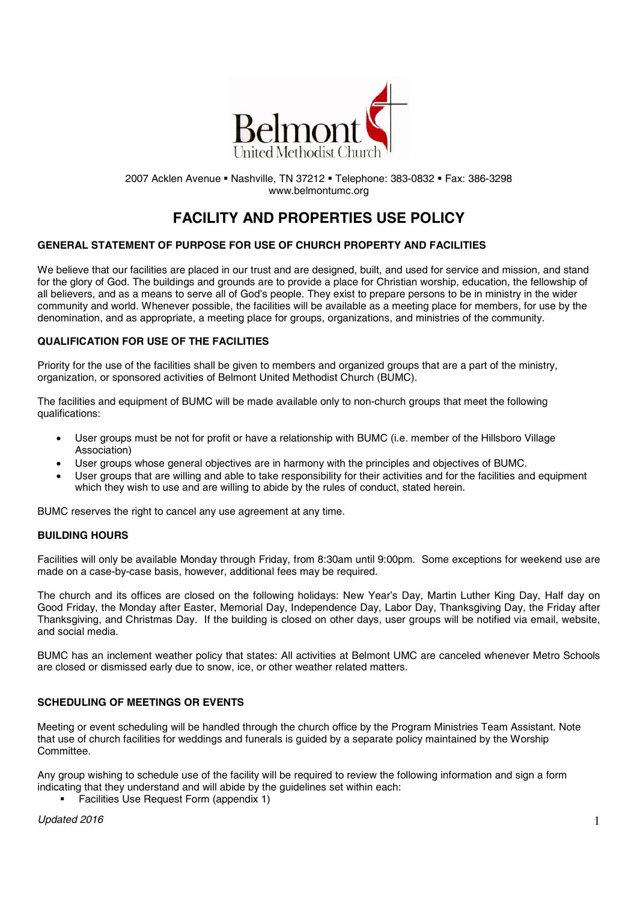

2007 Acklen Avenue Nashville, TN 37212 Telephone: 383-0832 Fax: 386-3298 www.belmontumc.org

# **FACILITY AND PROPERTIES USE POLICY**

# **GENERAL STATEMENT OF PURPOSE FOR USE OF CHURCH PROPERTY AND FACILITIES**

We believe that our facilities are placed in our trust and are designed, built, and used for service and mission, and stand for the glory of God. The buildings and grounds are to provide a place for Christian worship, education, the fellowship of all believers, and as a means to serve all of God's people. They exist to prepare persons to be in ministry in the wider community and world. Whenever possible, the facilities will be available as a meeting place for members, for use by the denomination, and as appropriate, a meeting place for groups, organizations, and ministries of the community.

## **QUALIFICATION FOR USE OF THE FACILITIES**

Priority for the use of the facilities shall be given to members and organized groups that are a part of the ministry, organization, or sponsored activities of Belmont United Methodist Church (BUMC).

The facilities and equipment of BUMC will be made available only to non-church groups that meet the following qualifications:

- User groups must be not for profit or have a relationship with BUMC (i.e. member of the Hillsboro Village Association)
- User groups whose general objectives are in harmony with the principles and objectives of BUMC.
- User groups that are willing and able to take responsibility for their activities and for the facilities and equipment which they wish to use and are willing to abide by the rules of conduct, stated herein.

BUMC reserves the right to cancel any use agreement at any time.

# **BUILDING HOURS**

Facilities will only be available Monday through Friday, from 8:30am until 9:00pm. Some exceptions for weekend use are made on a case-by-case basis, however, additional fees may be required.

The church and its offices are closed on the following holidays: New Year's Day, Martin Luther King Day, Half day on Good Friday, the Monday after Easter, Memorial Day, Independence Day, Labor Day, Thanksgiving Day, the Friday after Thanksgiving, and Christmas Day. If the building is closed on other days, user groups will be notified via email, website, and social media.

BUMC has an inclement weather policy that states: All activities at Belmont UMC are canceled whenever Metro Schools are closed or dismissed early due to snow, ice, or other weather related matters.

## **SCHEDULING OF MEETINGS OR EVENTS**

Meeting or event scheduling will be handled through the church office by the Program Ministries Team Assistant. Note that use of church facilities for weddings and funerals is guided by a separate policy maintained by the Worship Committee.

Any group wishing to schedule use of the facility will be required to review the following information and sign a form indicating that they understand and will abide by the guidelines set within each:

• Facilities Use Request Form (appendix 1)

*Updated 2016* 1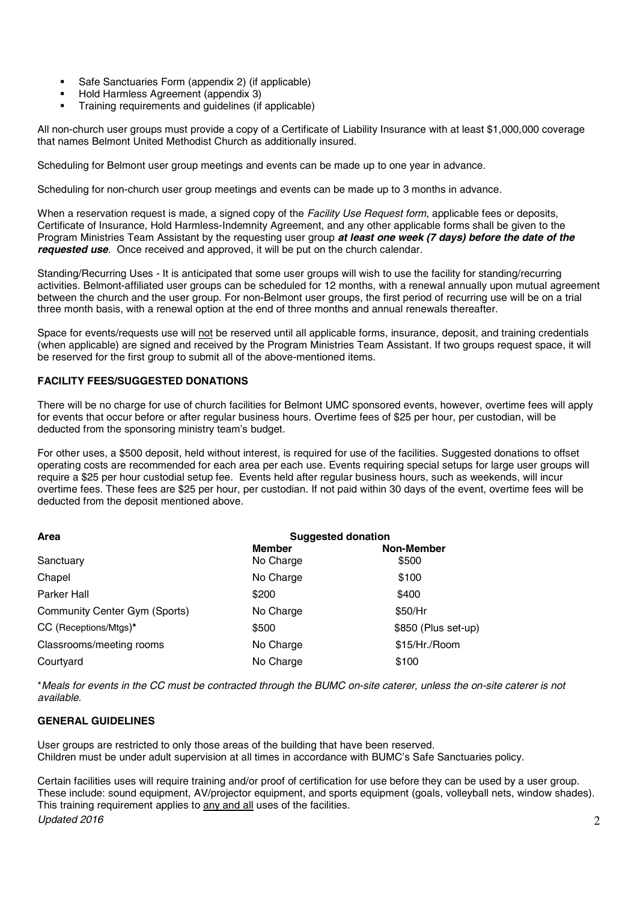- Safe Sanctuaries Form (appendix 2) (if applicable)
- Hold Harmless Agreement (appendix 3)
- Training requirements and guidelines (if applicable)

All non-church user groups must provide a copy of a Certificate of Liability Insurance with at least \$1,000,000 coverage that names Belmont United Methodist Church as additionally insured.

Scheduling for Belmont user group meetings and events can be made up to one year in advance.

Scheduling for non-church user group meetings and events can be made up to 3 months in advance.

When a reservation request is made, a signed copy of the *Facility Use Request form*, applicable fees or deposits, Certificate of Insurance, Hold Harmless-Indemnity Agreement, and any other applicable forms shall be given to the Program Ministries Team Assistant by the requesting user group *at least one week (7 days) before the date of the requested use*. Once received and approved, it will be put on the church calendar.

Standing/Recurring Uses - It is anticipated that some user groups will wish to use the facility for standing/recurring activities. Belmont-affiliated user groups can be scheduled for 12 months, with a renewal annually upon mutual agreement between the church and the user group. For non-Belmont user groups, the first period of recurring use will be on a trial three month basis, with a renewal option at the end of three months and annual renewals thereafter.

Space for events/requests use will not be reserved until all applicable forms, insurance, deposit, and training credentials (when applicable) are signed and received by the Program Ministries Team Assistant. If two groups request space, it will be reserved for the first group to submit all of the above-mentioned items.

# **FACILITY FEES/SUGGESTED DONATIONS**

There will be no charge for use of church facilities for Belmont UMC sponsored events, however, overtime fees will apply for events that occur before or after regular business hours. Overtime fees of \$25 per hour, per custodian, will be deducted from the sponsoring ministry team's budget.

For other uses, a \$500 deposit, held without interest, is required for use of the facilities. Suggested donations to offset operating costs are recommended for each area per each use. Events requiring special setups for large user groups will require a \$25 per hour custodial setup fee. Events held after regular business hours, such as weekends, will incur overtime fees. These fees are \$25 per hour, per custodian. If not paid within 30 days of the event, overtime fees will be deducted from the deposit mentioned above.

| Area                          | <b>Suggested donation</b> |                     |
|-------------------------------|---------------------------|---------------------|
|                               | <b>Member</b>             | <b>Non-Member</b>   |
| Sanctuary                     | No Charge                 | \$500               |
| Chapel                        | No Charge                 | \$100               |
| Parker Hall                   | \$200                     | \$400               |
| Community Center Gym (Sports) | No Charge                 | \$50/Hr             |
| CC (Receptions/Mtgs)*         | \$500                     | \$850 (Plus set-up) |
| Classrooms/meeting rooms      | No Charge                 | \$15/Hr./Room       |
| Courtyard                     | No Charge                 | \$100               |

\**Meals for events in the CC must be contracted through the BUMC on-site caterer, unless the on-site caterer is not available*.

# **GENERAL GUIDELINES**

User groups are restricted to only those areas of the building that have been reserved. Children must be under adult supervision at all times in accordance with BUMC's Safe Sanctuaries policy.

*Updated 2016* 2 Certain facilities uses will require training and/or proof of certification for use before they can be used by a user group. These include: sound equipment, AV/projector equipment, and sports equipment (goals, volleyball nets, window shades). This training requirement applies to any and all uses of the facilities.